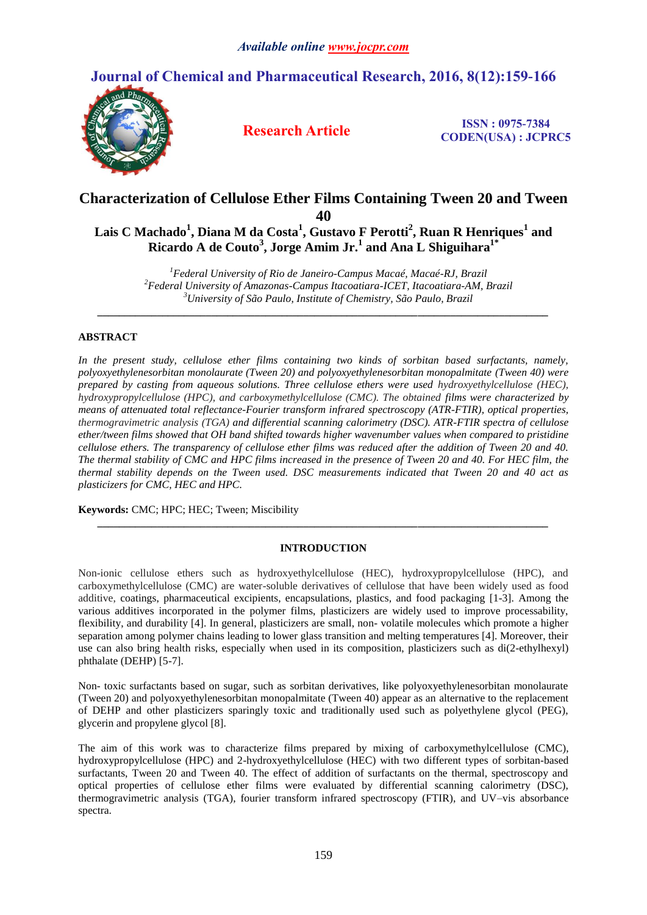# **Journal of Chemical and Pharmaceutical Research, 2016, 8(12):159-166**



**Research Article ISSN**: 0975-7384 **CODEN(USA) : JCPRC5**

# **Characterization of Cellulose Ether Films Containing Tween 20 and Tween 40**

**Lais C Machado<sup>1</sup> , Diana M da Costa<sup>1</sup> , Gustavo F Perotti<sup>2</sup> , Ruan R Henriques<sup>1</sup> and Ricardo A de Couto<sup>3</sup> , Jorge Amim Jr.<sup>1</sup> and Ana L Shiguihara1\***

> *<sup>1</sup>Federal University of Rio de Janeiro-Campus Macaé, Macaé-RJ, Brazil <sup>2</sup>Federal University of Amazonas-Campus Itacoatiara-ICET, Itacoatiara-AM, Brazil <sup>3</sup>University of São Paulo, Institute of Chemistry, São Paulo, Brazil*

*\_\_\_\_\_\_\_\_\_\_\_\_\_\_\_\_\_\_\_\_\_\_\_\_\_\_\_\_\_\_\_\_\_\_\_\_\_\_\_\_\_\_\_\_\_\_\_\_\_\_\_\_\_\_\_\_\_\_\_\_\_\_\_\_\_\_\_\_\_\_\_\_\_\_\_\_\_\_\_\_\_\_\_*

## **ABSTRACT**

*In the present study, cellulose ether films containing two kinds of sorbitan based surfactants, namely, polyoxyethylenesorbitan monolaurate (Tween 20) and polyoxyethylenesorbitan monopalmitate (Tween 40) were prepared by casting from aqueous solutions. Three cellulose ethers were used hydroxyethylcellulose (HEC), hydroxypropylcellulose (HPC), and carboxymethylcellulose (CMC). The obtained films were characterized by means of attenuated total reflectance-Fourier transform infrared spectroscopy (ATR-FTIR), optical properties, thermogravimetric analysis (TGA) and differential scanning calorimetry (DSC). ATR-FTIR spectra of cellulose ether/tween films showed that OH band shifted towards higher wavenumber values when compared to pristidine cellulose ethers. The transparency of cellulose ether films was reduced after the addition of Tween 20 and 40. The thermal stability of CMC and HPC films increased in the presence of Tween 20 and 40. For HEC film, the thermal stability depends on the Tween used. DSC measurements indicated that Tween 20 and 40 act as plasticizers for CMC, HEC and HPC.*

**Keywords:** CMC; HPC; HEC; Tween; Miscibility

## **INTRODUCTION**

*\_\_\_\_\_\_\_\_\_\_\_\_\_\_\_\_\_\_\_\_\_\_\_\_\_\_\_\_\_\_\_\_\_\_\_\_\_\_\_\_\_\_\_\_\_\_\_\_\_\_\_\_\_\_\_\_\_\_\_\_\_\_\_\_\_\_\_\_\_\_\_\_\_\_\_\_\_\_\_\_\_\_\_*

Non-ionic cellulose ethers such as hydroxyethylcellulose (HEC), hydroxypropylcellulose (HPC), and carboxymethylcellulose (CMC) are water-soluble derivatives of cellulose that have been widely used as food additive, coatings, pharmaceutical excipients, encapsulations, plastics, and food packaging [1-3]. Among the various additives incorporated in the polymer films, plasticizers are widely used to improve processability, flexibility, and durability [4]. In general, plasticizers are small, non- volatile molecules which promote a higher separation among polymer chains leading to lower glass transition and melting temperatures [4]. Moreover, their use can also bring health risks, especially when used in its composition, plasticizers such as di(2-ethylhexyl) phthalate (DEHP) [5-7].

Non- toxic surfactants based on sugar, such as sorbitan derivatives, like polyoxyethylenesorbitan monolaurate (Tween 20) and polyoxyethylenesorbitan monopalmitate (Tween 40) appear as an alternative to the replacement of DEHP and other plasticizers sparingly toxic and traditionally used such as polyethylene glycol (PEG), glycerin and propylene glycol [8].

The aim of this work was to characterize films prepared by mixing of carboxymethylcellulose (CMC), hydroxypropylcellulose (HPC) and 2-hydroxyethylcellulose (HEC) with two different types of sorbitan-based surfactants, Tween 20 and Tween 40. The effect of addition of surfactants on the thermal, spectroscopy and optical properties of cellulose ether films were evaluated by differential scanning calorimetry (DSC), thermogravimetric analysis (TGA), fourier transform infrared spectroscopy (FTIR), and UV–vis absorbance spectra.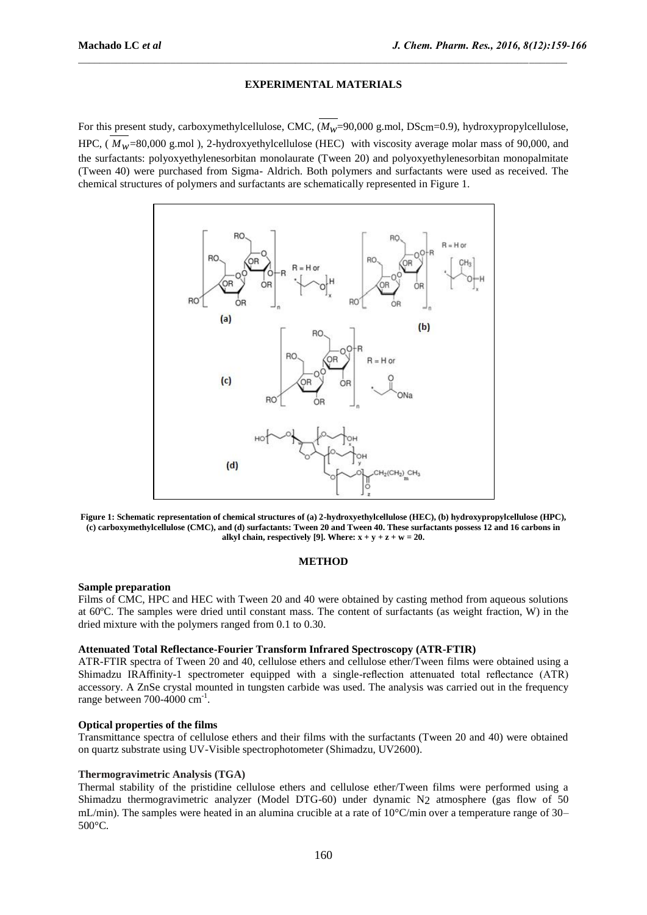#### **EXPERIMENTAL MATERIALS**

 $\mathcal{L}_\mathcal{L} = \{ \mathcal{L}_\mathcal{L} = \{ \mathcal{L}_\mathcal{L} = \{ \mathcal{L}_\mathcal{L} = \{ \mathcal{L}_\mathcal{L} = \{ \mathcal{L}_\mathcal{L} = \{ \mathcal{L}_\mathcal{L} = \{ \mathcal{L}_\mathcal{L} = \{ \mathcal{L}_\mathcal{L} = \{ \mathcal{L}_\mathcal{L} = \{ \mathcal{L}_\mathcal{L} = \{ \mathcal{L}_\mathcal{L} = \{ \mathcal{L}_\mathcal{L} = \{ \mathcal{L}_\mathcal{L} = \{ \mathcal{L}_\mathcal{$ 

For this present study, carboxymethylcellulose, CMC,  $(M_w=90,000 \text{ g.mol}, \text{DS} \text{cm}=0.9)$ , hydroxypropylcellulose, HPC, ( $M_w$ =80,000 g.mol), 2-hydroxyethylcellulose (HEC) with viscosity average molar mass of 90,000, and the surfactants: polyoxyethylenesorbitan monolaurate (Tween 20) and polyoxyethylenesorbitan monopalmitate (Tween 40) were purchased from Sigma- Aldrich. Both polymers and surfactants were used as received. The chemical structures of polymers and surfactants are schematically represented in Figure 1.





## **METHOD**

#### **Sample preparation**

Films of CMC, HPC and HEC with Tween 20 and 40 were obtained by casting method from aqueous solutions at 60ºC. The samples were dried until constant mass. The content of surfactants (as weight fraction, W) in the dried mixture with the polymers ranged from 0.1 to 0.30.

### **Attenuated Total Reflectance-Fourier Transform Infrared Spectroscopy (ATR-FTIR)**

ATR-FTIR spectra of Tween 20 and 40, cellulose ethers and cellulose ether/Tween films were obtained using a Shimadzu IRAffinity-1 spectrometer equipped with a single-reflection attenuated total reflectance (ATR) accessory. A ZnSe crystal mounted in tungsten carbide was used. The analysis was carried out in the frequency range between 700-4000 cm<sup>-1</sup>.

#### **Optical properties of the films**

Transmittance spectra of cellulose ethers and their films with the surfactants (Tween 20 and 40) were obtained on quartz substrate using UV-Visible spectrophotometer (Shimadzu, UV2600).

#### **Thermogravimetric Analysis (TGA)**

Thermal stability of the pristidine cellulose ethers and cellulose ether/Tween films were performed using a Shimadzu thermogravimetric analyzer (Model DTG-60) under dynamic N2 atmosphere (gas flow of 50 mL/min). The samples were heated in an alumina crucible at a rate of 10°C/min over a temperature range of 30– 500°C.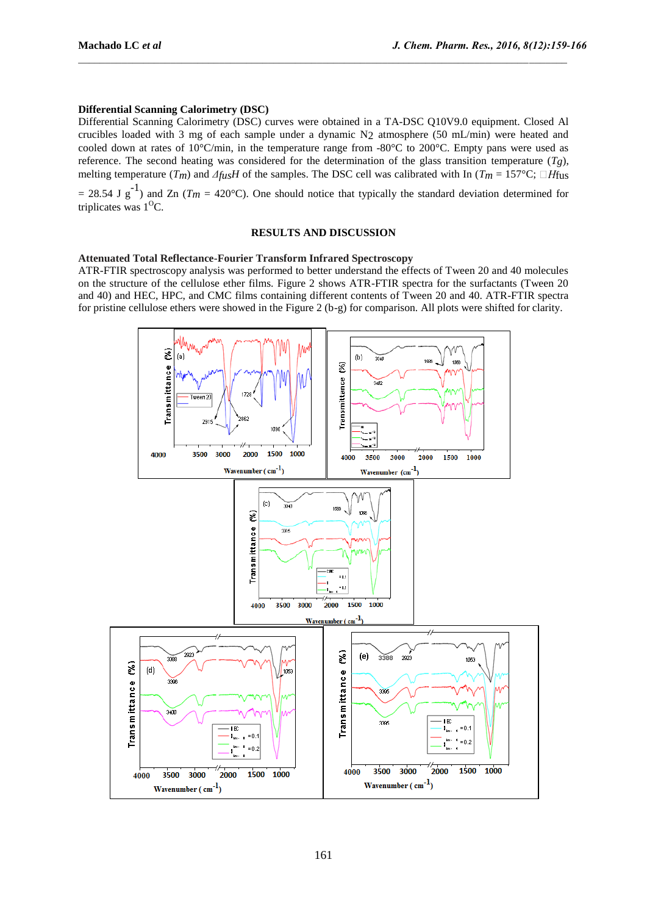### **Differential Scanning Calorimetry (DSC)**

Differential Scanning Calorimetry (DSC) curves were obtained in a TA-DSC Q10V9.0 equipment. Closed Al crucibles loaded with 3 mg of each sample under a dynamic N2 atmosphere (50 mL/min) were heated and cooled down at rates of 10°C/min, in the temperature range from -80°C to 200°C. Empty pans were used as reference. The second heating was considered for the determination of the glass transition temperature  $(T_g)$ , melting temperature  $(T_m)$  and  $\Delta f_{\mu s}H$  of the samples. The DSC cell was calibrated with In  $(T_m = 157^{\circ}C; \Box H_{\text{fus}})$ 

 $\mathcal{L}_\mathcal{L} = \{ \mathcal{L}_\mathcal{L} = \{ \mathcal{L}_\mathcal{L} = \{ \mathcal{L}_\mathcal{L} = \{ \mathcal{L}_\mathcal{L} = \{ \mathcal{L}_\mathcal{L} = \{ \mathcal{L}_\mathcal{L} = \{ \mathcal{L}_\mathcal{L} = \{ \mathcal{L}_\mathcal{L} = \{ \mathcal{L}_\mathcal{L} = \{ \mathcal{L}_\mathcal{L} = \{ \mathcal{L}_\mathcal{L} = \{ \mathcal{L}_\mathcal{L} = \{ \mathcal{L}_\mathcal{L} = \{ \mathcal{L}_\mathcal{$ 

 $= 28.54$  J g<sup>-1</sup>) and Zn ( $T_m = 420$ °C). One should notice that typically the standard deviation determined for triplicates was  $1^{\circ}$ C.

#### **RESULTS AND DISCUSSION**

#### **Attenuated Total Reflectance-Fourier Transform Infrared Spectroscopy**

ATR-FTIR spectroscopy analysis was performed to better understand the effects of Tween 20 and 40 molecules on the structure of the cellulose ether films. Figure 2 shows ATR-FTIR spectra for the surfactants (Tween 20 and 40) and HEC, HPC, and CMC films containing different contents of Tween 20 and 40. ATR-FTIR spectra for pristine cellulose ethers were showed in the Figure 2 (b-g) for comparison. All plots were shifted for clarity.

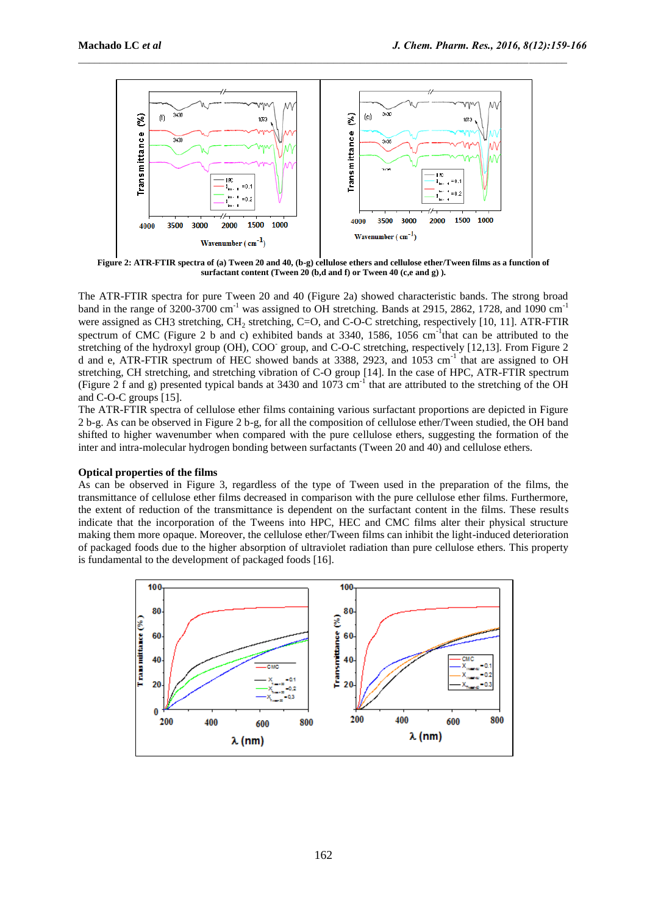

**Figure 2: ATR-FTIR spectra of (a) Tween 20 and 40, (b-g) cellulose ethers and cellulose ether/Tween films as a function of surfactant content (Tween 20 (b,d and f) or Tween 40 (c,e and g) ).**

The ATR-FTIR spectra for pure Tween 20 and 40 (Figure 2a) showed characteristic bands. The strong broad band in the range of 3200-3700 cm<sup>-1</sup> was assigned to OH stretching. Bands at 2915, 2862, 1728, and 1090 cm<sup>-1</sup> were assigned as CH3 stretching,  $CH_2$  stretching, C=O, and C-O-C stretching, respectively [10, 11]. ATR-FTIR spectrum of CMC (Figure 2 b and c) exhibited bands at 3340, 1586, 1056 cm<sup>-1</sup>that can be attributed to the stretching of the hydroxyl group (OH), COO group, and C-O-C stretching, respectively [12,13]. From Figure 2 d and e, ATR-FTIR spectrum of HEC showed bands at 3388, 2923, and 1053 cm<sup>-1</sup> that are assigned to OH stretching, CH stretching, and stretching vibration of C-O group [14]. In the case of HPC, ATR-FTIR spectrum (Figure 2 f and g) presented typical bands at 3430 and 1073  $cm^{-1}$  that are attributed to the stretching of the OH and C-O-C groups [15].

The ATR-FTIR spectra of cellulose ether films containing various surfactant proportions are depicted in Figure 2 b-g. As can be observed in Figure 2 b-g, for all the composition of cellulose ether/Tween studied, the OH band shifted to higher wavenumber when compared with the pure cellulose ethers, suggesting the formation of the inter and intra-molecular hydrogen bonding between surfactants (Tween 20 and 40) and cellulose ethers.

#### **Optical properties of the films**

As can be observed in Figure 3, regardless of the type of Tween used in the preparation of the films, the transmittance of cellulose ether films decreased in comparison with the pure cellulose ether films. Furthermore, the extent of reduction of the transmittance is dependent on the surfactant content in the films. These results indicate that the incorporation of the Tweens into HPC, HEC and CMC films alter their physical structure making them more opaque. Moreover, the cellulose ether/Tween films can inhibit the light-induced deterioration of packaged foods due to the higher absorption of ultraviolet radiation than pure cellulose ethers. This property is fundamental to the development of packaged foods [16].

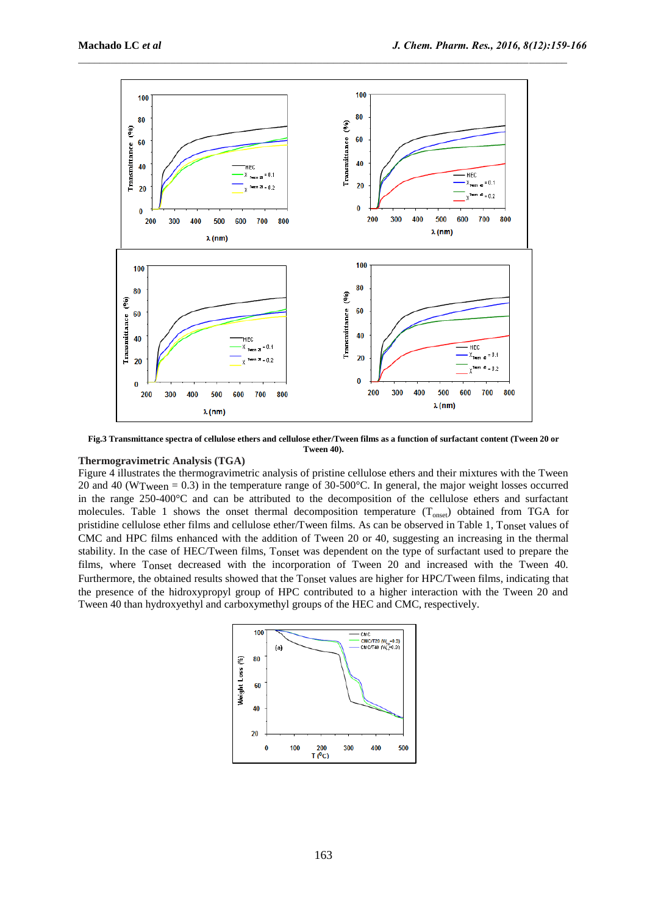

**Fig.3 Transmittance spectra of cellulose ethers and cellulose ether/Tween films as a function of surfactant content (Tween 20 or Tween 40).**

# **Thermogravimetric Analysis (TGA)**

Figure 4 illustrates the thermogravimetric analysis of pristine cellulose ethers and their mixtures with the Tween 20 and 40 (WTween = 0.3) in the temperature range of 30-500°C. In general, the major weight losses occurred in the range 250-400°C and can be attributed to the decomposition of the cellulose ethers and surfactant molecules. Table 1 shows the onset thermal decomposition temperature  $(T_{onset})$  obtained from TGA for pristidine cellulose ether films and cellulose ether/Tween films. As can be observed in Table 1, Tonset values of CMC and HPC films enhanced with the addition of Tween 20 or 40, suggesting an increasing in the thermal stability. In the case of HEC/Tween films, Tonset was dependent on the type of surfactant used to prepare the films, where Tonset decreased with the incorporation of Tween 20 and increased with the Tween 40. Furthermore, the obtained results showed that the Tonset values are higher for HPC/Tween films, indicating that the presence of the hidroxypropyl group of HPC contributed to a higher interaction with the Tween 20 and Tween 40 than hydroxyethyl and carboxymethyl groups of the HEC and CMC, respectively.

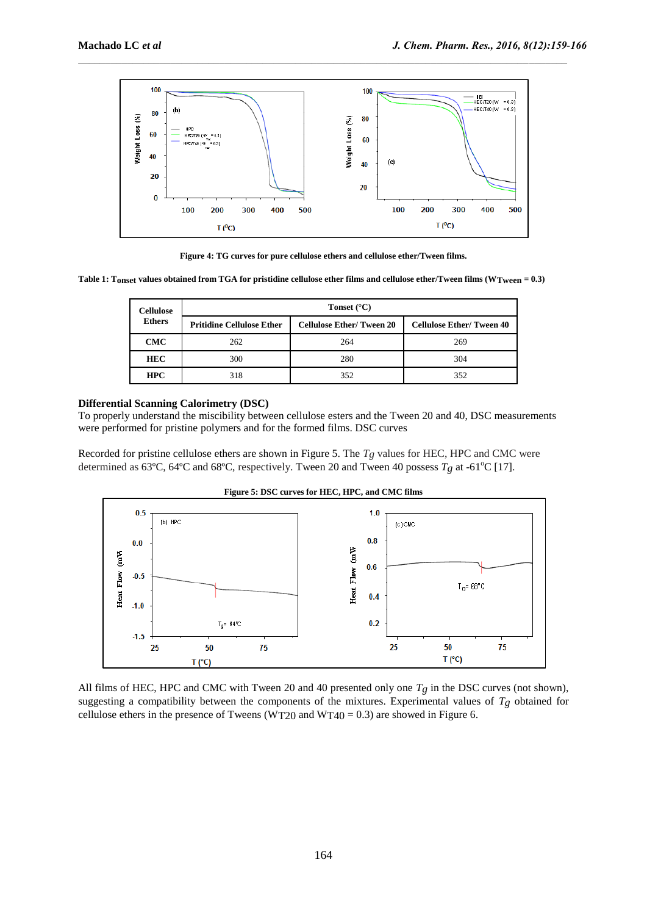

**Figure 4: TG curves for pure cellulose ethers and cellulose ether/Tween films.**

**Table 1: Tonset values obtained from TGA for pristidine cellulose ether films and cellulose ether/Tween films (WTween = 0.3)**

| <b>Cellulose</b><br><b>Ethers</b> | Tonset $(^{\circ}C)$             |                                 |                                 |
|-----------------------------------|----------------------------------|---------------------------------|---------------------------------|
|                                   | <b>Pritidine Cellulose Ether</b> | <b>Cellulose Ether/Tween 20</b> | <b>Cellulose Ether/Tween 40</b> |
| <b>CMC</b>                        | 262                              | 264                             | 269                             |
| <b>HEC</b>                        | 300                              | 280                             | 304                             |
| <b>HPC</b>                        | 318                              | 352                             | 352                             |

### **Differential Scanning Calorimetry (DSC)**

To properly understand the miscibility between cellulose esters and the Tween 20 and 40, DSC measurements were performed for pristine polymers and for the formed films. DSC curves

Recorded for pristine cellulose ethers are shown in Figure 5. The *Tg* values for HEC, HPC and CMC were determined as 63°C, 64°C and 68°C, respectively. Tween 20 and Tween 40 possess  $T_g$  at -61°C [17].



All films of HEC, HPC and CMC with Tween 20 and 40 presented only one *Tg* in the DSC curves (not shown), suggesting a compatibility between the components of the mixtures. Experimental values of *Tg* obtained for cellulose ethers in the presence of Tweens (WT20 and WT40 =  $0.3$ ) are showed in Figure 6.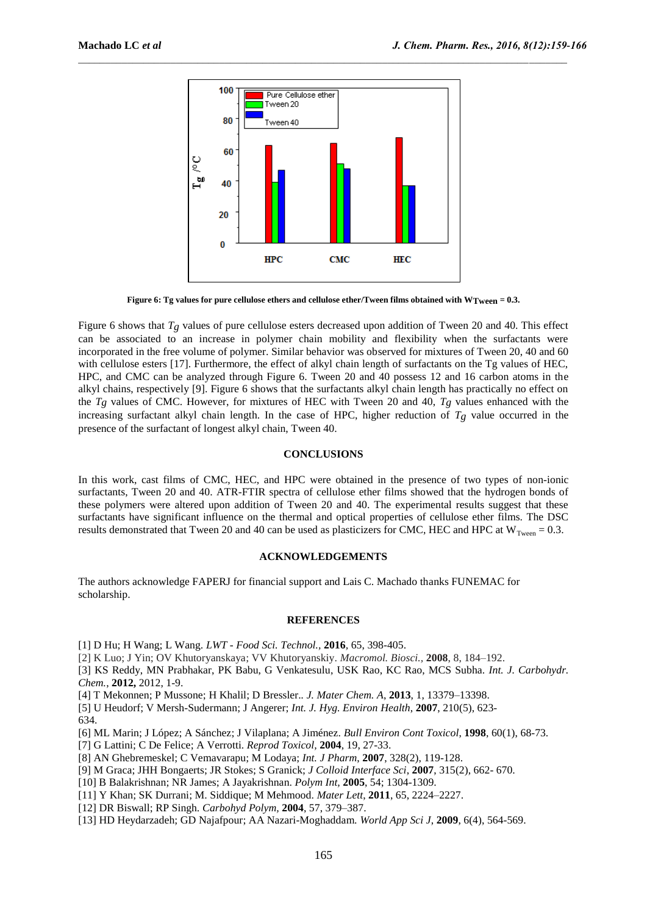

**Figure 6: Tg values for pure cellulose ethers and cellulose ether/Tween films obtained with WTween = 0.3.**

Figure 6 shows that *Tg* values of pure cellulose esters decreased upon addition of Tween 20 and 40. This effect can be associated to an increase in polymer chain mobility and flexibility when the surfactants were incorporated in the free volume of polymer. Similar behavior was observed for mixtures of Tween 20, 40 and 60 with cellulose esters [17]. Furthermore, the effect of alkyl chain length of surfactants on the Tg values of HEC, HPC, and CMC can be analyzed through Figure 6. Tween 20 and 40 possess 12 and 16 carbon atoms in the alkyl chains, respectively [9]. Figure 6 shows that the surfactants alkyl chain length has practically no effect on the *Tg* values of CMC. However, for mixtures of HEC with Tween 20 and 40, *Tg* values enhanced with the increasing surfactant alkyl chain length. In the case of HPC, higher reduction of *Tg* value occurred in the presence of the surfactant of longest alkyl chain, Tween 40.

#### **CONCLUSIONS**

In this work, cast films of CMC, HEC, and HPC were obtained in the presence of two types of non-ionic surfactants, Tween 20 and 40. ATR-FTIR spectra of cellulose ether films showed that the hydrogen bonds of these polymers were altered upon addition of Tween 20 and 40. The experimental results suggest that these surfactants have significant influence on the thermal and optical properties of cellulose ether films. The DSC results demonstrated that Tween 20 and 40 can be used as plasticizers for CMC, HEC and HPC at  $W_{T_{\text{ween}}} = 0.3$ .

### **ACKNOWLEDGEMENTS**

The authors acknowledge FAPERJ for financial support and Lais C. Machado thanks FUNEMAC for scholarship.

#### **REFERENCES**

[1] D Hu; H Wang; L Wang. *LWT - Food Sci. Technol.,* **2016***,* 65, 398-405.

[2] K Luo; J Yin; OV Khutoryanskaya; VV Khutoryanskiy. *Macromol. Biosci.,* **2008**, 8, 184–192.

[3] KS Reddy, MN Prabhakar, PK Babu, G Venkatesulu, USK Rao, KC Rao, MCS Subha. *Int. J. Carbohydr. Chem.*, **2012,** 2012, 1-9.

[4] T Mekonnen; P Mussone; H Khalil; D Bressler.*. J. Mater Chem. A*, **2013**, 1, 13379–13398.

[5] U Heudorf; V Mersh-Sudermann; J Angerer; *Int. J. Hyg. Environ Health*, **2007**, 210(5), 623-

634.

[6] ML Marin; J López; A Sánchez; J Vilaplana; A Jiménez. *Bull Environ Cont Toxicol*, **1998**, 60(1), 68-73.

[7] G Lattini; C De Felice; A Verrotti. *Reprod Toxicol,* **2004**, 19, 27-33.

[8] AN Ghebremeskel; C Vemavarapu; M Lodaya; *Int. J Pharm*, **2007**, 328(2), 119-128.

[9] M Graca; JHH Bongaerts; JR Stokes; S Granick; *J Colloid Interface Sci*, **2007**, 315(2), 662- 670.

[10] B Balakrishnan; NR James; A Jayakrishnan. *Polym Int,* **2005**, 54; 1304-1309.

- [11] Y Khan; SK Durrani; M. Siddique; M Mehmood. *Mater Lett*, **2011**, 65, 2224–2227.
- [12] DR Biswall; RP Singh. *Carbohyd Polym,* **2004**, 57, 379–387.
- [13] HD Heydarzadeh; GD Najafpour; AA Nazari-Moghaddam. *World App Sci J*, **2009**, 6(4), 564-569.